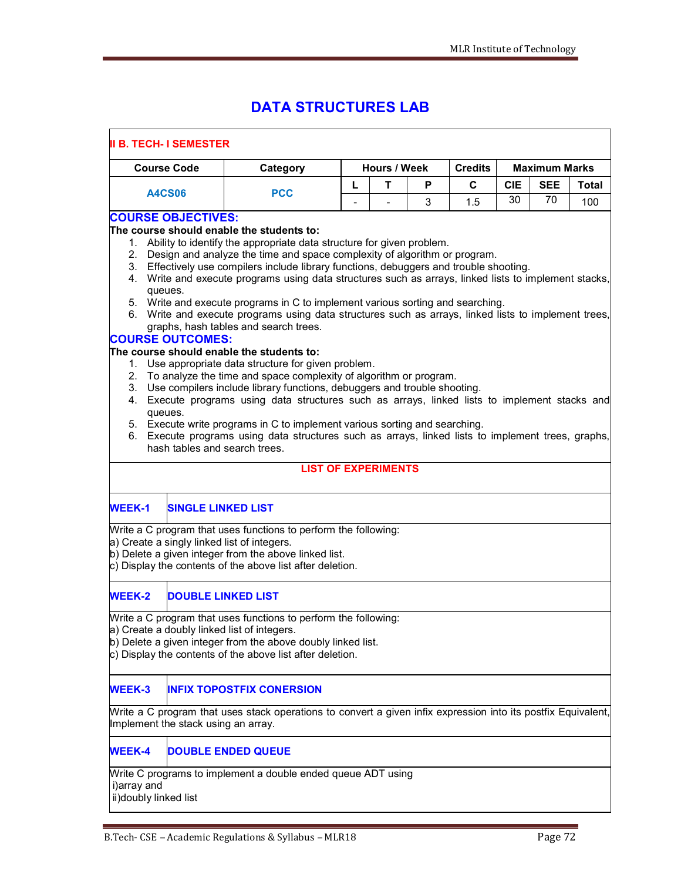## **DATA STRUCTURES LAB**

| C<br>T<br><b>CIE</b><br><b>SEE</b><br>L<br>P<br><b>A4CS06</b><br><b>PCC</b><br>30<br>70<br>3<br>1.5<br><b>COURSE OBJECTIVES:</b><br>The course should enable the students to:<br>1. Ability to identify the appropriate data structure for given problem.<br>2. Design and analyze the time and space complexity of algorithm or program.<br>3. Effectively use compilers include library functions, debuggers and trouble shooting.<br>Write and execute programs using data structures such as arrays, linked lists to implement stacks,<br>4.<br>queues.<br>5. Write and execute programs in C to implement various sorting and searching.<br>6. Write and execute programs using data structures such as arrays, linked lists to implement trees,<br>graphs, hash tables and search trees.<br><b>COURSE OUTCOMES:</b><br>The course should enable the students to:<br>1. Use appropriate data structure for given problem.<br>To analyze the time and space complexity of algorithm or program.<br>2.<br>3. Use compilers include library functions, debuggers and trouble shooting.<br>4. Execute programs using data structures such as arrays, linked lists to implement stacks and<br>queues.<br>5. Execute write programs in C to implement various sorting and searching.<br>6. Execute programs using data structures such as arrays, linked lists to implement trees, graphs,<br>hash tables and search trees.<br><b>LIST OF EXPERIMENTS</b><br><b>WEEK-1</b><br><b>SINGLE LINKED LIST</b><br>Write a C program that uses functions to perform the following:<br>a) Create a singly linked list of integers.<br>b) Delete a given integer from the above linked list.<br>c) Display the contents of the above list after deletion.<br><b>WEEK-2</b><br><b>DOUBLE LINKED LIST</b><br>Write a C program that uses functions to perform the following:<br>a) Create a doubly linked list of integers.<br>b) Delete a given integer from the above doubly linked list.<br>c) Display the contents of the above list after deletion.<br><b>WEEK-3</b><br><b>INFIX TOPOSTFIX CONERSION</b><br>Write a C program that uses stack operations to convert a given infix expression into its postfix Equivalent,<br>Implement the stack using an array.<br><b>WEEK-4</b><br><b>DOUBLE ENDED QUEUE</b><br>Write C programs to implement a double ended queue ADT using<br>i)array and | <b>Course Code</b> |  | Category | Hours / Week |  |  | <b>Credits</b> | <b>Maximum Marks</b> |  |              |  |
|---------------------------------------------------------------------------------------------------------------------------------------------------------------------------------------------------------------------------------------------------------------------------------------------------------------------------------------------------------------------------------------------------------------------------------------------------------------------------------------------------------------------------------------------------------------------------------------------------------------------------------------------------------------------------------------------------------------------------------------------------------------------------------------------------------------------------------------------------------------------------------------------------------------------------------------------------------------------------------------------------------------------------------------------------------------------------------------------------------------------------------------------------------------------------------------------------------------------------------------------------------------------------------------------------------------------------------------------------------------------------------------------------------------------------------------------------------------------------------------------------------------------------------------------------------------------------------------------------------------------------------------------------------------------------------------------------------------------------------------------------------------------------------------------------------------------------------------------------------------------------------------------------------------------------------------------------------------------------------------------------------------------------------------------------------------------------------------------------------------------------------------------------------------------------------------------------------------------------------------------------------------------------------------------------------------------------------------------------------------------------------------|--------------------|--|----------|--------------|--|--|----------------|----------------------|--|--------------|--|
|                                                                                                                                                                                                                                                                                                                                                                                                                                                                                                                                                                                                                                                                                                                                                                                                                                                                                                                                                                                                                                                                                                                                                                                                                                                                                                                                                                                                                                                                                                                                                                                                                                                                                                                                                                                                                                                                                                                                                                                                                                                                                                                                                                                                                                                                                                                                                                                       |                    |  |          |              |  |  |                |                      |  | <b>Total</b> |  |
|                                                                                                                                                                                                                                                                                                                                                                                                                                                                                                                                                                                                                                                                                                                                                                                                                                                                                                                                                                                                                                                                                                                                                                                                                                                                                                                                                                                                                                                                                                                                                                                                                                                                                                                                                                                                                                                                                                                                                                                                                                                                                                                                                                                                                                                                                                                                                                                       |                    |  |          |              |  |  |                |                      |  | 100          |  |
|                                                                                                                                                                                                                                                                                                                                                                                                                                                                                                                                                                                                                                                                                                                                                                                                                                                                                                                                                                                                                                                                                                                                                                                                                                                                                                                                                                                                                                                                                                                                                                                                                                                                                                                                                                                                                                                                                                                                                                                                                                                                                                                                                                                                                                                                                                                                                                                       |                    |  |          |              |  |  |                |                      |  |              |  |
|                                                                                                                                                                                                                                                                                                                                                                                                                                                                                                                                                                                                                                                                                                                                                                                                                                                                                                                                                                                                                                                                                                                                                                                                                                                                                                                                                                                                                                                                                                                                                                                                                                                                                                                                                                                                                                                                                                                                                                                                                                                                                                                                                                                                                                                                                                                                                                                       |                    |  |          |              |  |  |                |                      |  |              |  |
|                                                                                                                                                                                                                                                                                                                                                                                                                                                                                                                                                                                                                                                                                                                                                                                                                                                                                                                                                                                                                                                                                                                                                                                                                                                                                                                                                                                                                                                                                                                                                                                                                                                                                                                                                                                                                                                                                                                                                                                                                                                                                                                                                                                                                                                                                                                                                                                       |                    |  |          |              |  |  |                |                      |  |              |  |
|                                                                                                                                                                                                                                                                                                                                                                                                                                                                                                                                                                                                                                                                                                                                                                                                                                                                                                                                                                                                                                                                                                                                                                                                                                                                                                                                                                                                                                                                                                                                                                                                                                                                                                                                                                                                                                                                                                                                                                                                                                                                                                                                                                                                                                                                                                                                                                                       |                    |  |          |              |  |  |                |                      |  |              |  |
|                                                                                                                                                                                                                                                                                                                                                                                                                                                                                                                                                                                                                                                                                                                                                                                                                                                                                                                                                                                                                                                                                                                                                                                                                                                                                                                                                                                                                                                                                                                                                                                                                                                                                                                                                                                                                                                                                                                                                                                                                                                                                                                                                                                                                                                                                                                                                                                       |                    |  |          |              |  |  |                |                      |  |              |  |
|                                                                                                                                                                                                                                                                                                                                                                                                                                                                                                                                                                                                                                                                                                                                                                                                                                                                                                                                                                                                                                                                                                                                                                                                                                                                                                                                                                                                                                                                                                                                                                                                                                                                                                                                                                                                                                                                                                                                                                                                                                                                                                                                                                                                                                                                                                                                                                                       |                    |  |          |              |  |  |                |                      |  |              |  |
|                                                                                                                                                                                                                                                                                                                                                                                                                                                                                                                                                                                                                                                                                                                                                                                                                                                                                                                                                                                                                                                                                                                                                                                                                                                                                                                                                                                                                                                                                                                                                                                                                                                                                                                                                                                                                                                                                                                                                                                                                                                                                                                                                                                                                                                                                                                                                                                       |                    |  |          |              |  |  |                |                      |  |              |  |
|                                                                                                                                                                                                                                                                                                                                                                                                                                                                                                                                                                                                                                                                                                                                                                                                                                                                                                                                                                                                                                                                                                                                                                                                                                                                                                                                                                                                                                                                                                                                                                                                                                                                                                                                                                                                                                                                                                                                                                                                                                                                                                                                                                                                                                                                                                                                                                                       |                    |  |          |              |  |  |                |                      |  |              |  |
|                                                                                                                                                                                                                                                                                                                                                                                                                                                                                                                                                                                                                                                                                                                                                                                                                                                                                                                                                                                                                                                                                                                                                                                                                                                                                                                                                                                                                                                                                                                                                                                                                                                                                                                                                                                                                                                                                                                                                                                                                                                                                                                                                                                                                                                                                                                                                                                       |                    |  |          |              |  |  |                |                      |  |              |  |
|                                                                                                                                                                                                                                                                                                                                                                                                                                                                                                                                                                                                                                                                                                                                                                                                                                                                                                                                                                                                                                                                                                                                                                                                                                                                                                                                                                                                                                                                                                                                                                                                                                                                                                                                                                                                                                                                                                                                                                                                                                                                                                                                                                                                                                                                                                                                                                                       |                    |  |          |              |  |  |                |                      |  |              |  |
|                                                                                                                                                                                                                                                                                                                                                                                                                                                                                                                                                                                                                                                                                                                                                                                                                                                                                                                                                                                                                                                                                                                                                                                                                                                                                                                                                                                                                                                                                                                                                                                                                                                                                                                                                                                                                                                                                                                                                                                                                                                                                                                                                                                                                                                                                                                                                                                       |                    |  |          |              |  |  |                |                      |  |              |  |
|                                                                                                                                                                                                                                                                                                                                                                                                                                                                                                                                                                                                                                                                                                                                                                                                                                                                                                                                                                                                                                                                                                                                                                                                                                                                                                                                                                                                                                                                                                                                                                                                                                                                                                                                                                                                                                                                                                                                                                                                                                                                                                                                                                                                                                                                                                                                                                                       |                    |  |          |              |  |  |                |                      |  |              |  |
|                                                                                                                                                                                                                                                                                                                                                                                                                                                                                                                                                                                                                                                                                                                                                                                                                                                                                                                                                                                                                                                                                                                                                                                                                                                                                                                                                                                                                                                                                                                                                                                                                                                                                                                                                                                                                                                                                                                                                                                                                                                                                                                                                                                                                                                                                                                                                                                       |                    |  |          |              |  |  |                |                      |  |              |  |
|                                                                                                                                                                                                                                                                                                                                                                                                                                                                                                                                                                                                                                                                                                                                                                                                                                                                                                                                                                                                                                                                                                                                                                                                                                                                                                                                                                                                                                                                                                                                                                                                                                                                                                                                                                                                                                                                                                                                                                                                                                                                                                                                                                                                                                                                                                                                                                                       |                    |  |          |              |  |  |                |                      |  |              |  |
|                                                                                                                                                                                                                                                                                                                                                                                                                                                                                                                                                                                                                                                                                                                                                                                                                                                                                                                                                                                                                                                                                                                                                                                                                                                                                                                                                                                                                                                                                                                                                                                                                                                                                                                                                                                                                                                                                                                                                                                                                                                                                                                                                                                                                                                                                                                                                                                       |                    |  |          |              |  |  |                |                      |  |              |  |
|                                                                                                                                                                                                                                                                                                                                                                                                                                                                                                                                                                                                                                                                                                                                                                                                                                                                                                                                                                                                                                                                                                                                                                                                                                                                                                                                                                                                                                                                                                                                                                                                                                                                                                                                                                                                                                                                                                                                                                                                                                                                                                                                                                                                                                                                                                                                                                                       |                    |  |          |              |  |  |                |                      |  |              |  |
|                                                                                                                                                                                                                                                                                                                                                                                                                                                                                                                                                                                                                                                                                                                                                                                                                                                                                                                                                                                                                                                                                                                                                                                                                                                                                                                                                                                                                                                                                                                                                                                                                                                                                                                                                                                                                                                                                                                                                                                                                                                                                                                                                                                                                                                                                                                                                                                       |                    |  |          |              |  |  |                |                      |  |              |  |
|                                                                                                                                                                                                                                                                                                                                                                                                                                                                                                                                                                                                                                                                                                                                                                                                                                                                                                                                                                                                                                                                                                                                                                                                                                                                                                                                                                                                                                                                                                                                                                                                                                                                                                                                                                                                                                                                                                                                                                                                                                                                                                                                                                                                                                                                                                                                                                                       |                    |  |          |              |  |  |                |                      |  |              |  |
|                                                                                                                                                                                                                                                                                                                                                                                                                                                                                                                                                                                                                                                                                                                                                                                                                                                                                                                                                                                                                                                                                                                                                                                                                                                                                                                                                                                                                                                                                                                                                                                                                                                                                                                                                                                                                                                                                                                                                                                                                                                                                                                                                                                                                                                                                                                                                                                       |                    |  |          |              |  |  |                |                      |  |              |  |
|                                                                                                                                                                                                                                                                                                                                                                                                                                                                                                                                                                                                                                                                                                                                                                                                                                                                                                                                                                                                                                                                                                                                                                                                                                                                                                                                                                                                                                                                                                                                                                                                                                                                                                                                                                                                                                                                                                                                                                                                                                                                                                                                                                                                                                                                                                                                                                                       |                    |  |          |              |  |  |                |                      |  |              |  |
|                                                                                                                                                                                                                                                                                                                                                                                                                                                                                                                                                                                                                                                                                                                                                                                                                                                                                                                                                                                                                                                                                                                                                                                                                                                                                                                                                                                                                                                                                                                                                                                                                                                                                                                                                                                                                                                                                                                                                                                                                                                                                                                                                                                                                                                                                                                                                                                       |                    |  |          |              |  |  |                |                      |  |              |  |
|                                                                                                                                                                                                                                                                                                                                                                                                                                                                                                                                                                                                                                                                                                                                                                                                                                                                                                                                                                                                                                                                                                                                                                                                                                                                                                                                                                                                                                                                                                                                                                                                                                                                                                                                                                                                                                                                                                                                                                                                                                                                                                                                                                                                                                                                                                                                                                                       |                    |  |          |              |  |  |                |                      |  |              |  |
|                                                                                                                                                                                                                                                                                                                                                                                                                                                                                                                                                                                                                                                                                                                                                                                                                                                                                                                                                                                                                                                                                                                                                                                                                                                                                                                                                                                                                                                                                                                                                                                                                                                                                                                                                                                                                                                                                                                                                                                                                                                                                                                                                                                                                                                                                                                                                                                       |                    |  |          |              |  |  |                |                      |  |              |  |
|                                                                                                                                                                                                                                                                                                                                                                                                                                                                                                                                                                                                                                                                                                                                                                                                                                                                                                                                                                                                                                                                                                                                                                                                                                                                                                                                                                                                                                                                                                                                                                                                                                                                                                                                                                                                                                                                                                                                                                                                                                                                                                                                                                                                                                                                                                                                                                                       |                    |  |          |              |  |  |                |                      |  |              |  |
|                                                                                                                                                                                                                                                                                                                                                                                                                                                                                                                                                                                                                                                                                                                                                                                                                                                                                                                                                                                                                                                                                                                                                                                                                                                                                                                                                                                                                                                                                                                                                                                                                                                                                                                                                                                                                                                                                                                                                                                                                                                                                                                                                                                                                                                                                                                                                                                       |                    |  |          |              |  |  |                |                      |  |              |  |
|                                                                                                                                                                                                                                                                                                                                                                                                                                                                                                                                                                                                                                                                                                                                                                                                                                                                                                                                                                                                                                                                                                                                                                                                                                                                                                                                                                                                                                                                                                                                                                                                                                                                                                                                                                                                                                                                                                                                                                                                                                                                                                                                                                                                                                                                                                                                                                                       |                    |  |          |              |  |  |                |                      |  |              |  |
|                                                                                                                                                                                                                                                                                                                                                                                                                                                                                                                                                                                                                                                                                                                                                                                                                                                                                                                                                                                                                                                                                                                                                                                                                                                                                                                                                                                                                                                                                                                                                                                                                                                                                                                                                                                                                                                                                                                                                                                                                                                                                                                                                                                                                                                                                                                                                                                       |                    |  |          |              |  |  |                |                      |  |              |  |
|                                                                                                                                                                                                                                                                                                                                                                                                                                                                                                                                                                                                                                                                                                                                                                                                                                                                                                                                                                                                                                                                                                                                                                                                                                                                                                                                                                                                                                                                                                                                                                                                                                                                                                                                                                                                                                                                                                                                                                                                                                                                                                                                                                                                                                                                                                                                                                                       |                    |  |          |              |  |  |                |                      |  |              |  |
|                                                                                                                                                                                                                                                                                                                                                                                                                                                                                                                                                                                                                                                                                                                                                                                                                                                                                                                                                                                                                                                                                                                                                                                                                                                                                                                                                                                                                                                                                                                                                                                                                                                                                                                                                                                                                                                                                                                                                                                                                                                                                                                                                                                                                                                                                                                                                                                       |                    |  |          |              |  |  |                |                      |  |              |  |
|                                                                                                                                                                                                                                                                                                                                                                                                                                                                                                                                                                                                                                                                                                                                                                                                                                                                                                                                                                                                                                                                                                                                                                                                                                                                                                                                                                                                                                                                                                                                                                                                                                                                                                                                                                                                                                                                                                                                                                                                                                                                                                                                                                                                                                                                                                                                                                                       |                    |  |          |              |  |  |                |                      |  |              |  |
|                                                                                                                                                                                                                                                                                                                                                                                                                                                                                                                                                                                                                                                                                                                                                                                                                                                                                                                                                                                                                                                                                                                                                                                                                                                                                                                                                                                                                                                                                                                                                                                                                                                                                                                                                                                                                                                                                                                                                                                                                                                                                                                                                                                                                                                                                                                                                                                       |                    |  |          |              |  |  |                |                      |  |              |  |
|                                                                                                                                                                                                                                                                                                                                                                                                                                                                                                                                                                                                                                                                                                                                                                                                                                                                                                                                                                                                                                                                                                                                                                                                                                                                                                                                                                                                                                                                                                                                                                                                                                                                                                                                                                                                                                                                                                                                                                                                                                                                                                                                                                                                                                                                                                                                                                                       |                    |  |          |              |  |  |                |                      |  |              |  |
|                                                                                                                                                                                                                                                                                                                                                                                                                                                                                                                                                                                                                                                                                                                                                                                                                                                                                                                                                                                                                                                                                                                                                                                                                                                                                                                                                                                                                                                                                                                                                                                                                                                                                                                                                                                                                                                                                                                                                                                                                                                                                                                                                                                                                                                                                                                                                                                       |                    |  |          |              |  |  |                |                      |  |              |  |
|                                                                                                                                                                                                                                                                                                                                                                                                                                                                                                                                                                                                                                                                                                                                                                                                                                                                                                                                                                                                                                                                                                                                                                                                                                                                                                                                                                                                                                                                                                                                                                                                                                                                                                                                                                                                                                                                                                                                                                                                                                                                                                                                                                                                                                                                                                                                                                                       |                    |  |          |              |  |  |                |                      |  |              |  |
|                                                                                                                                                                                                                                                                                                                                                                                                                                                                                                                                                                                                                                                                                                                                                                                                                                                                                                                                                                                                                                                                                                                                                                                                                                                                                                                                                                                                                                                                                                                                                                                                                                                                                                                                                                                                                                                                                                                                                                                                                                                                                                                                                                                                                                                                                                                                                                                       |                    |  |          |              |  |  |                |                      |  |              |  |
|                                                                                                                                                                                                                                                                                                                                                                                                                                                                                                                                                                                                                                                                                                                                                                                                                                                                                                                                                                                                                                                                                                                                                                                                                                                                                                                                                                                                                                                                                                                                                                                                                                                                                                                                                                                                                                                                                                                                                                                                                                                                                                                                                                                                                                                                                                                                                                                       |                    |  |          |              |  |  |                |                      |  |              |  |
|                                                                                                                                                                                                                                                                                                                                                                                                                                                                                                                                                                                                                                                                                                                                                                                                                                                                                                                                                                                                                                                                                                                                                                                                                                                                                                                                                                                                                                                                                                                                                                                                                                                                                                                                                                                                                                                                                                                                                                                                                                                                                                                                                                                                                                                                                                                                                                                       |                    |  |          |              |  |  |                |                      |  |              |  |
|                                                                                                                                                                                                                                                                                                                                                                                                                                                                                                                                                                                                                                                                                                                                                                                                                                                                                                                                                                                                                                                                                                                                                                                                                                                                                                                                                                                                                                                                                                                                                                                                                                                                                                                                                                                                                                                                                                                                                                                                                                                                                                                                                                                                                                                                                                                                                                                       |                    |  |          |              |  |  |                |                      |  |              |  |
|                                                                                                                                                                                                                                                                                                                                                                                                                                                                                                                                                                                                                                                                                                                                                                                                                                                                                                                                                                                                                                                                                                                                                                                                                                                                                                                                                                                                                                                                                                                                                                                                                                                                                                                                                                                                                                                                                                                                                                                                                                                                                                                                                                                                                                                                                                                                                                                       |                    |  |          |              |  |  |                |                      |  |              |  |
|                                                                                                                                                                                                                                                                                                                                                                                                                                                                                                                                                                                                                                                                                                                                                                                                                                                                                                                                                                                                                                                                                                                                                                                                                                                                                                                                                                                                                                                                                                                                                                                                                                                                                                                                                                                                                                                                                                                                                                                                                                                                                                                                                                                                                                                                                                                                                                                       |                    |  |          |              |  |  |                |                      |  |              |  |
|                                                                                                                                                                                                                                                                                                                                                                                                                                                                                                                                                                                                                                                                                                                                                                                                                                                                                                                                                                                                                                                                                                                                                                                                                                                                                                                                                                                                                                                                                                                                                                                                                                                                                                                                                                                                                                                                                                                                                                                                                                                                                                                                                                                                                                                                                                                                                                                       |                    |  |          |              |  |  |                |                      |  |              |  |
| ii) doubly linked list                                                                                                                                                                                                                                                                                                                                                                                                                                                                                                                                                                                                                                                                                                                                                                                                                                                                                                                                                                                                                                                                                                                                                                                                                                                                                                                                                                                                                                                                                                                                                                                                                                                                                                                                                                                                                                                                                                                                                                                                                                                                                                                                                                                                                                                                                                                                                                |                    |  |          |              |  |  |                |                      |  |              |  |